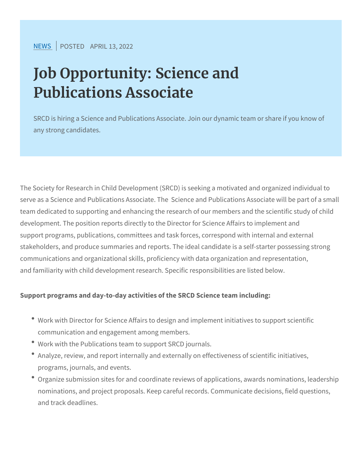[NEW](https://www.srcd.org/news)SPOSTEADPRIL 13, 2022

## Job Opportunity: Science and Publications Associate

SRCD is hiring a Science and Publications Associate. Join our dynamic any strong candidates.

The Society for Research in Child Development (SRCD) is seeking a serve as a Science and Publications Associate. The Science and P team dedicated to supporting and enhancing the research of our me development. The position reports directly to the Director for Scien support programs, publications, committees and task forces, corres stakeholders, and produce summaries and reports. The ideal candid communications and organizational skills, proficiency with data org and familiarity with child development research. Specific responsib

Support programs and day-to-day activities of the SRCD Science te

- \* Work with Director for Science Affairs to design and implement communication and engagement among members.
- Work with the Publications team to support SRCD journals.
- \* Analyze, review, and report internally and externally on effectiv programs, journals, and events.
- <sup>.</sup> Organize submission sites for and coordinate reviews of applica nominations, and project proposals. Keep careful records. Comm and track deadlines.